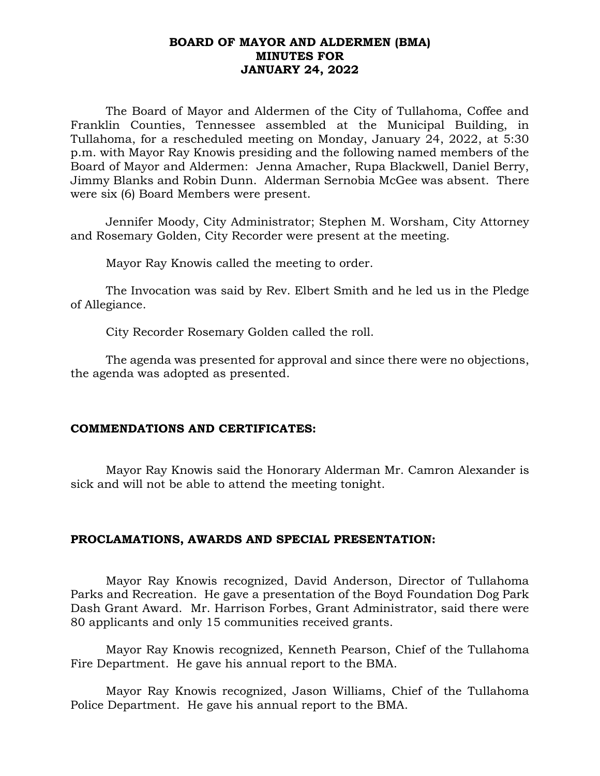## **BOARD OF MAYOR AND ALDERMEN (BMA) MINUTES FOR JANUARY 24, 2022**

The Board of Mayor and Aldermen of the City of Tullahoma, Coffee and Franklin Counties, Tennessee assembled at the Municipal Building, in Tullahoma, for a rescheduled meeting on Monday, January 24, 2022, at 5:30 p.m. with Mayor Ray Knowis presiding and the following named members of the Board of Mayor and Aldermen: Jenna Amacher, Rupa Blackwell, Daniel Berry, Jimmy Blanks and Robin Dunn. Alderman Sernobia McGee was absent. There were six (6) Board Members were present.

Jennifer Moody, City Administrator; Stephen M. Worsham, City Attorney and Rosemary Golden, City Recorder were present at the meeting.

Mayor Ray Knowis called the meeting to order.

The Invocation was said by Rev. Elbert Smith and he led us in the Pledge of Allegiance.

City Recorder Rosemary Golden called the roll.

The agenda was presented for approval and since there were no objections, the agenda was adopted as presented.

# **COMMENDATIONS AND CERTIFICATES:**

Mayor Ray Knowis said the Honorary Alderman Mr. Camron Alexander is sick and will not be able to attend the meeting tonight.

# **PROCLAMATIONS, AWARDS AND SPECIAL PRESENTATION:**

Mayor Ray Knowis recognized, David Anderson, Director of Tullahoma Parks and Recreation. He gave a presentation of the Boyd Foundation Dog Park Dash Grant Award. Mr. Harrison Forbes, Grant Administrator, said there were 80 applicants and only 15 communities received grants.

Mayor Ray Knowis recognized, Kenneth Pearson, Chief of the Tullahoma Fire Department. He gave his annual report to the BMA.

Mayor Ray Knowis recognized, Jason Williams, Chief of the Tullahoma Police Department. He gave his annual report to the BMA.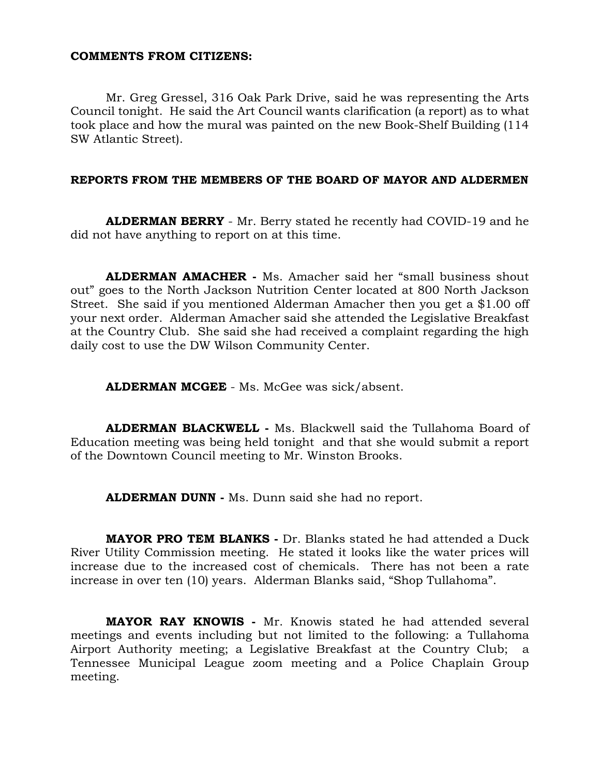### **COMMENTS FROM CITIZENS:**

Mr. Greg Gressel, 316 Oak Park Drive, said he was representing the Arts Council tonight. He said the Art Council wants clarification (a report) as to what took place and how the mural was painted on the new Book-Shelf Building (114 SW Atlantic Street).

#### **REPORTS FROM THE MEMBERS OF THE BOARD OF MAYOR AND ALDERMEN**

**ALDERMAN BERRY** - Mr. Berry stated he recently had COVID-19 and he did not have anything to report on at this time.

**ALDERMAN AMACHER -** Ms. Amacher said her "small business shout out" goes to the North Jackson Nutrition Center located at 800 North Jackson Street. She said if you mentioned Alderman Amacher then you get a \$1.00 off your next order. Alderman Amacher said she attended the Legislative Breakfast at the Country Club. She said she had received a complaint regarding the high daily cost to use the DW Wilson Community Center.

**ALDERMAN MCGEE** - Ms. McGee was sick/absent.

**ALDERMAN BLACKWELL -** Ms. Blackwell said the Tullahoma Board of Education meeting was being held tonight and that she would submit a report of the Downtown Council meeting to Mr. Winston Brooks.

**ALDERMAN DUNN -** Ms. Dunn said she had no report.

**MAYOR PRO TEM BLANKS -** Dr. Blanks stated he had attended a Duck River Utility Commission meeting. He stated it looks like the water prices will increase due to the increased cost of chemicals. There has not been a rate increase in over ten (10) years. Alderman Blanks said, "Shop Tullahoma".

**MAYOR RAY KNOWIS -** Mr. Knowis stated he had attended several meetings and events including but not limited to the following: a Tullahoma Airport Authority meeting; a Legislative Breakfast at the Country Club; a Tennessee Municipal League zoom meeting and a Police Chaplain Group meeting.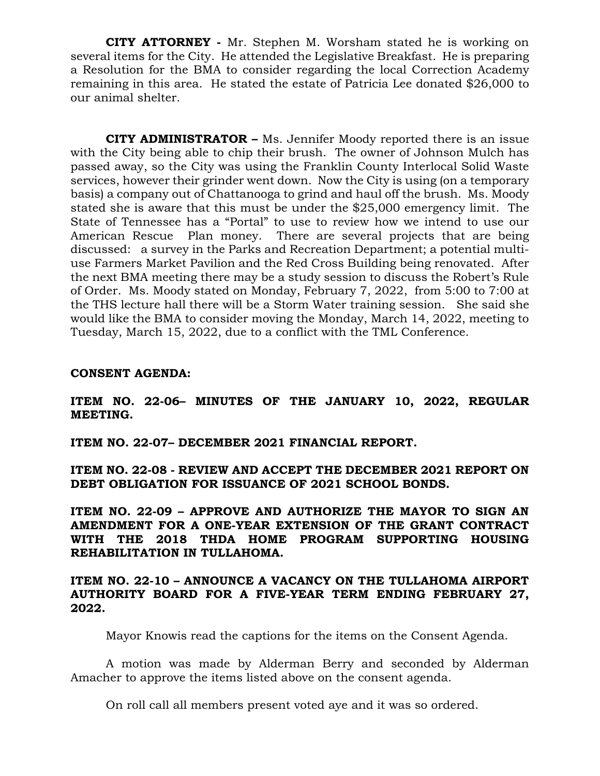**CITY ATTORNEY -** Mr. Stephen M. Worsham stated he is working on several items for the City. He attended the Legislative Breakfast. He is preparing a Resolution for the BMA to consider regarding the local Correction Academy remaining in this area. He stated the estate of Patricia Lee donated \$26,000 to our animal shelter.

**CITY ADMINISTRATOR –** Ms. Jennifer Moody reported there is an issue with the City being able to chip their brush. The owner of Johnson Mulch has passed away, so the City was using the Franklin County Interlocal Solid Waste services, however their grinder went down. Now the City is using (on a temporary basis) a company out of Chattanooga to grind and haul off the brush. Ms. Moody stated she is aware that this must be under the \$25,000 emergency limit. The State of Tennessee has a "Portal" to use to review how we intend to use our American Rescue Plan money. There are several projects that are being discussed: a survey in the Parks and Recreation Department; a potential multiuse Farmers Market Pavilion and the Red Cross Building being renovated. After the next BMA meeting there may be a study session to discuss the Robert's Rule of Order. Ms. Moody stated on Monday, February 7, 2022, from 5:00 to 7:00 at the THS lecture hall there will be a Storm Water training session. She said she would like the BMA to consider moving the Monday, March 14, 2022, meeting to Tuesday, March 15, 2022, due to a conflict with the TML Conference.

#### **CONSENT AGENDA:**

**ITEM NO. 22-06– MINUTES OF THE JANUARY 10, 2022, REGULAR MEETING.**

**ITEM NO. 22-07– DECEMBER 2021 FINANCIAL REPORT.**

**ITEM NO. 22-08 - REVIEW AND ACCEPT THE DECEMBER 2021 REPORT ON DEBT OBLIGATION FOR ISSUANCE OF 2021 SCHOOL BONDS.**

**ITEM NO. 22-09 – APPROVE AND AUTHORIZE THE MAYOR TO SIGN AN AMENDMENT FOR A ONE-YEAR EXTENSION OF THE GRANT CONTRACT WITH THE 2018 THDA HOME PROGRAM SUPPORTING HOUSING REHABILITATION IN TULLAHOMA.**

## **ITEM NO. 22-10 – ANNOUNCE A VACANCY ON THE TULLAHOMA AIRPORT AUTHORITY BOARD FOR A FIVE-YEAR TERM ENDING FEBRUARY 27, 2022.**

Mayor Knowis read the captions for the items on the Consent Agenda.

A motion was made by Alderman Berry and seconded by Alderman Amacher to approve the items listed above on the consent agenda.

On roll call all members present voted aye and it was so ordered.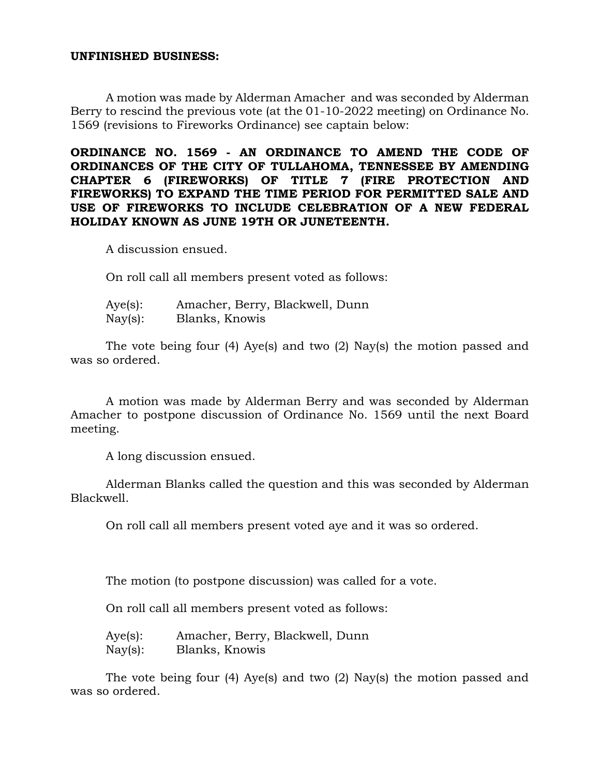#### **UNFINISHED BUSINESS:**

A motion was made by Alderman Amacher and was seconded by Alderman Berry to rescind the previous vote (at the 01-10-2022 meeting) on Ordinance No. 1569 (revisions to Fireworks Ordinance) see captain below:

**ORDINANCE NO. 1569 - AN ORDINANCE TO AMEND THE CODE OF ORDINANCES OF THE CITY OF TULLAHOMA, TENNESSEE BY AMENDING CHAPTER 6 (FIREWORKS) OF TITLE 7 (FIRE PROTECTION AND FIREWORKS) TO EXPAND THE TIME PERIOD FOR PERMITTED SALE AND USE OF FIREWORKS TO INCLUDE CELEBRATION OF A NEW FEDERAL HOLIDAY KNOWN AS JUNE 19TH OR JUNETEENTH.**

A discussion ensued.

On roll call all members present voted as follows:

| Aye(s):           | Amacher, Berry, Blackwell, Dunn |
|-------------------|---------------------------------|
| $\text{Nay}(s)$ : | Blanks, Knowis                  |

The vote being four (4) Aye(s) and two (2) Nay(s) the motion passed and was so ordered.

A motion was made by Alderman Berry and was seconded by Alderman Amacher to postpone discussion of Ordinance No. 1569 until the next Board meeting.

A long discussion ensued.

Alderman Blanks called the question and this was seconded by Alderman Blackwell.

On roll call all members present voted aye and it was so ordered.

The motion (to postpone discussion) was called for a vote.

On roll call all members present voted as follows:

Aye(s): Amacher, Berry, Blackwell, Dunn Nay(s): Blanks, Knowis

The vote being four (4) Aye(s) and two (2) Nay(s) the motion passed and was so ordered.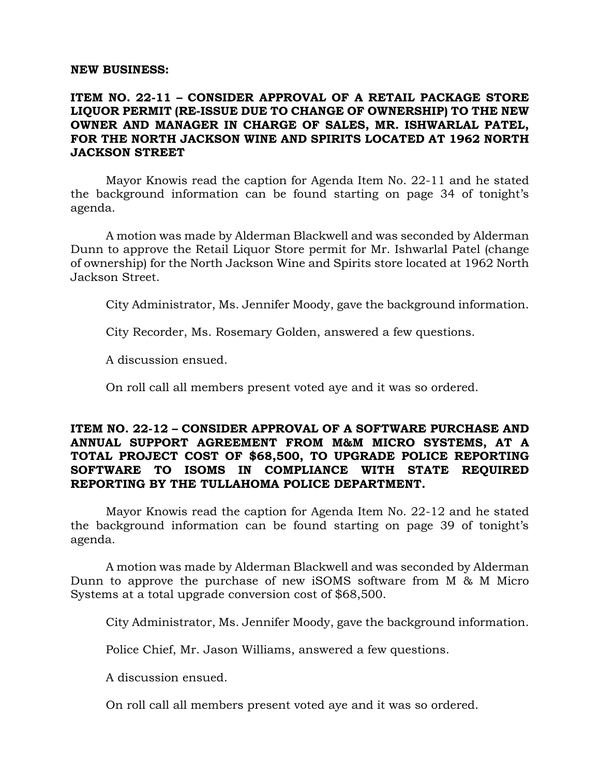#### **NEW BUSINESS:**

# **ITEM NO. 22-11 – CONSIDER APPROVAL OF A RETAIL PACKAGE STORE LIQUOR PERMIT (RE-ISSUE DUE TO CHANGE OF OWNERSHIP) TO THE NEW OWNER AND MANAGER IN CHARGE OF SALES, MR. ISHWARLAL PATEL, FOR THE NORTH JACKSON WINE AND SPIRITS LOCATED AT 1962 NORTH JACKSON STREET**

Mayor Knowis read the caption for Agenda Item No. 22-11 and he stated the background information can be found starting on page 34 of tonight's agenda.

A motion was made by Alderman Blackwell and was seconded by Alderman Dunn to approve the Retail Liquor Store permit for Mr. Ishwarlal Patel (change of ownership) for the North Jackson Wine and Spirits store located at 1962 North Jackson Street.

City Administrator, Ms. Jennifer Moody, gave the background information.

City Recorder, Ms. Rosemary Golden, answered a few questions.

A discussion ensued.

On roll call all members present voted aye and it was so ordered.

## **ITEM NO. 22-12 – CONSIDER APPROVAL OF A SOFTWARE PURCHASE AND ANNUAL SUPPORT AGREEMENT FROM M&M MICRO SYSTEMS, AT A TOTAL PROJECT COST OF \$68,500, TO UPGRADE POLICE REPORTING SOFTWARE TO ISOMS IN COMPLIANCE WITH STATE REQUIRED REPORTING BY THE TULLAHOMA POLICE DEPARTMENT.**

Mayor Knowis read the caption for Agenda Item No. 22-12 and he stated the background information can be found starting on page 39 of tonight's agenda.

A motion was made by Alderman Blackwell and was seconded by Alderman Dunn to approve the purchase of new iSOMS software from M & M Micro Systems at a total upgrade conversion cost of \$68,500.

City Administrator, Ms. Jennifer Moody, gave the background information.

Police Chief, Mr. Jason Williams, answered a few questions.

A discussion ensued.

On roll call all members present voted aye and it was so ordered.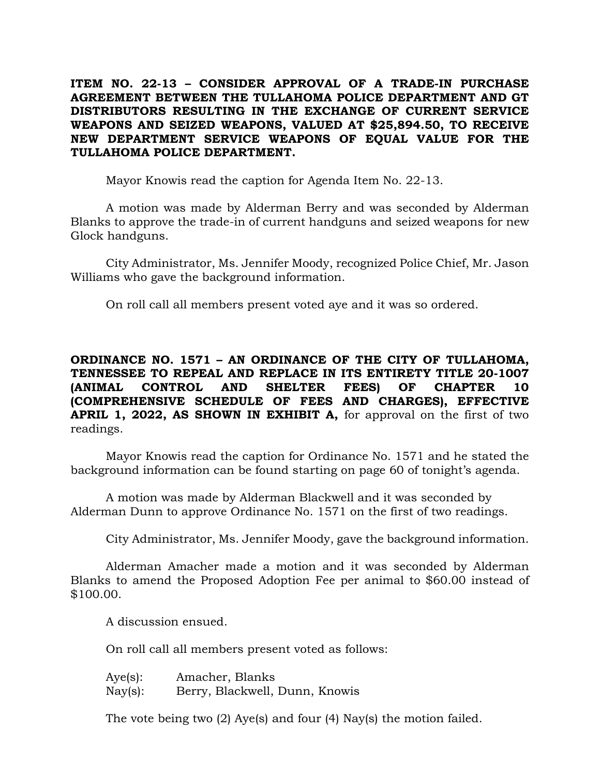**ITEM NO. 22-13 – CONSIDER APPROVAL OF A TRADE-IN PURCHASE AGREEMENT BETWEEN THE TULLAHOMA POLICE DEPARTMENT AND GT DISTRIBUTORS RESULTING IN THE EXCHANGE OF CURRENT SERVICE WEAPONS AND SEIZED WEAPONS, VALUED AT \$25,894.50, TO RECEIVE NEW DEPARTMENT SERVICE WEAPONS OF EQUAL VALUE FOR THE TULLAHOMA POLICE DEPARTMENT.**

Mayor Knowis read the caption for Agenda Item No. 22-13.

A motion was made by Alderman Berry and was seconded by Alderman Blanks to approve the trade-in of current handguns and seized weapons for new Glock handguns.

City Administrator, Ms. Jennifer Moody, recognized Police Chief, Mr. Jason Williams who gave the background information.

On roll call all members present voted aye and it was so ordered.

**ORDINANCE NO. 1571 – AN ORDINANCE OF THE CITY OF TULLAHOMA, TENNESSEE TO REPEAL AND REPLACE IN ITS ENTIRETY TITLE 20-1007 (ANIMAL CONTROL AND SHELTER FEES) OF CHAPTER 10 (COMPREHENSIVE SCHEDULE OF FEES AND CHARGES), EFFECTIVE APRIL 1, 2022, AS SHOWN IN EXHIBIT A,** for approval on the first of two readings.

Mayor Knowis read the caption for Ordinance No. 1571 and he stated the background information can be found starting on page 60 of tonight's agenda.

A motion was made by Alderman Blackwell and it was seconded by Alderman Dunn to approve Ordinance No. 1571 on the first of two readings.

City Administrator, Ms. Jennifer Moody, gave the background information.

Alderman Amacher made a motion and it was seconded by Alderman Blanks to amend the Proposed Adoption Fee per animal to \$60.00 instead of \$100.00.

A discussion ensued.

On roll call all members present voted as follows:

| $Aye(s)$ :        | Amacher, Blanks                |
|-------------------|--------------------------------|
| $\text{Nay}(s)$ : | Berry, Blackwell, Dunn, Knowis |

The vote being two (2) Aye(s) and four (4) Nay(s) the motion failed.